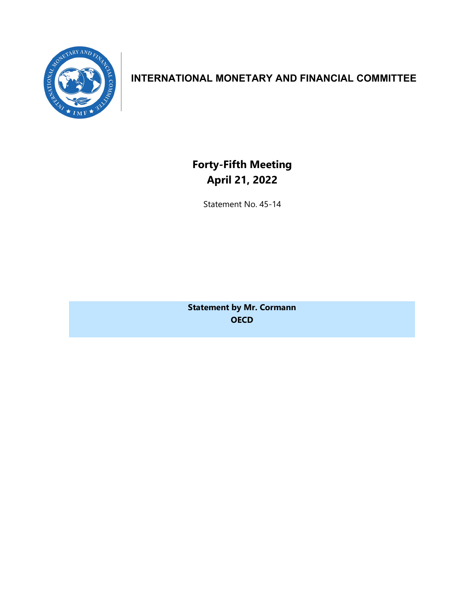

## **INTERNATIONAL MONETARY AND FINANCIAL COMMITTEE**

**Forty-Fifth Meeting April 21, 2022**

Statement No. 45-14

**Statement by Mr. Cormann OECD**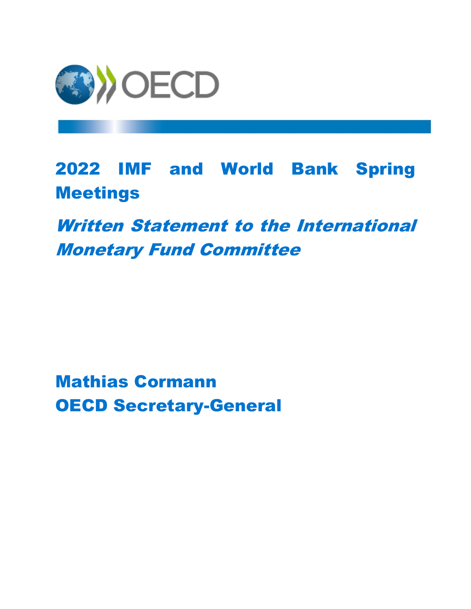

2022 IMF and World Bank Spring Meetings

Written Statement to the International Monetary Fund Committee

Mathias Cormann OECD Secretary-General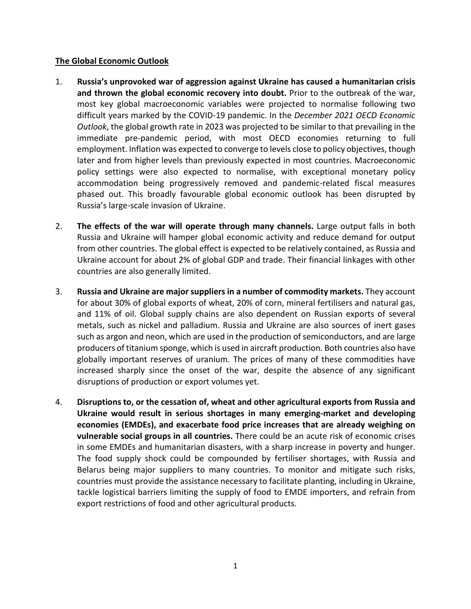## **The Global Economic Outlook**

- 1. **Russia's unprovoked war of aggression against Ukraine has caused a humanitarian crisis and thrown the global economic recovery into doubt.** Prior to the outbreak of the war, most key global macroeconomic variables were projected to normalise following two difficult years marked by the COVID-19 pandemic. In the *December 2021 OECD Economic Outlook*, the global growth rate in 2023 was projected to be similar to that prevailing in the immediate pre-pandemic period, with most OECD economies returning to full employment. Inflation was expected to converge to levels close to policy objectives, though later and from higher levels than previously expected in most countries. Macroeconomic policy settings were also expected to normalise, with exceptional monetary policy accommodation being progressively removed and pandemic-related fiscal measures phased out. This broadly favourable global economic outlook has been disrupted by Russia's large-scale invasion of Ukraine.
- 2. **The effects of the war will operate through many channels.** Large output falls in both Russia and Ukraine will hamper global economic activity and reduce demand for output from other countries. The global effect is expected to be relatively contained, as Russia and Ukraine account for about 2% of global GDP and trade. Their financial linkages with other countries are also generally limited.
- 3. **Russia and Ukraine are major suppliers in a number of commodity markets.** They account for about 30% of global exports of wheat, 20% of corn, mineral fertilisers and natural gas, and 11% of oil. Global supply chains are also dependent on Russian exports of several metals, such as nickel and palladium. Russia and Ukraine are also sources of inert gases such as argon and neon, which are used in the production of semiconductors, and are large producers of titanium sponge, which is used in aircraft production. Both countries also have globally important reserves of uranium. The prices of many of these commodities have increased sharply since the onset of the war, despite the absence of any significant disruptions of production or export volumes yet.
- 4. **Disruptions to, or the cessation of, wheat and other agricultural exports from Russia and Ukraine would result in serious shortages in many emerging-market and developing economies (EMDEs), and exacerbate food price increases that are already weighing on vulnerable social groups in all countries.** There could be an acute risk of economic crises in some EMDEs and humanitarian disasters, with a sharp increase in poverty and hunger. The food supply shock could be compounded by fertiliser shortages, with Russia and Belarus being major suppliers to many countries. To monitor and mitigate such risks, countries must provide the assistance necessary to facilitate planting, including in Ukraine, tackle logistical barriers limiting the supply of food to EMDE importers, and refrain from export restrictions of food and other agricultural products.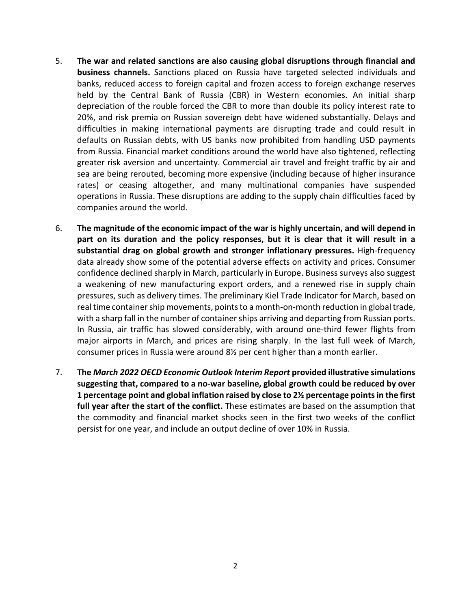- 5. **The war and related sanctions are also causing global disruptions through financial and business channels.** Sanctions placed on Russia have targeted selected individuals and banks, reduced access to foreign capital and frozen access to foreign exchange reserves held by the Central Bank of Russia (CBR) in Western economies. An initial sharp depreciation of the rouble forced the CBR to more than double its policy interest rate to 20%, and risk premia on Russian sovereign debt have widened substantially. Delays and difficulties in making international payments are disrupting trade and could result in defaults on Russian debts, with US banks now prohibited from handling USD payments from Russia. Financial market conditions around the world have also tightened, reflecting greater risk aversion and uncertainty. Commercial air travel and freight traffic by air and sea are being rerouted, becoming more expensive (including because of higher insurance rates) or ceasing altogether, and many multinational companies have suspended operations in Russia. These disruptions are adding to the supply chain difficulties faced by companies around the world.
- 6. **The magnitude of the economic impact of the war is highly uncertain, and will depend in part on its duration and the policy responses, but it is clear that it will result in a substantial drag on global growth and stronger inflationary pressures.** High-frequency data already show some of the potential adverse effects on activity and prices. Consumer confidence declined sharply in March, particularly in Europe. Business surveys also suggest a weakening of new manufacturing export orders, and a renewed rise in supply chain pressures, such as delivery times. The preliminary Kiel Trade Indicator for March, based on real time container ship movements, points to a month-on-month reduction in global trade, with a sharp fall in the number of container ships arriving and departing from Russian ports. In Russia, air traffic has slowed considerably, with around one-third fewer flights from major airports in March, and prices are rising sharply. In the last full week of March, consumer prices in Russia were around 8½ per cent higher than a month earlier.
- 7. **The** *March 2022 OECD Economic Outlook Interim Report* **provided illustrative simulations suggesting that, compared to a no-war baseline, global growth could be reduced by over 1 percentage point and global inflation raised by close to 2½ percentage points in the first full year after the start of the conflict.** These estimates are based on the assumption that the commodity and financial market shocks seen in the first two weeks of the conflict persist for one year, and include an output decline of over 10% in Russia.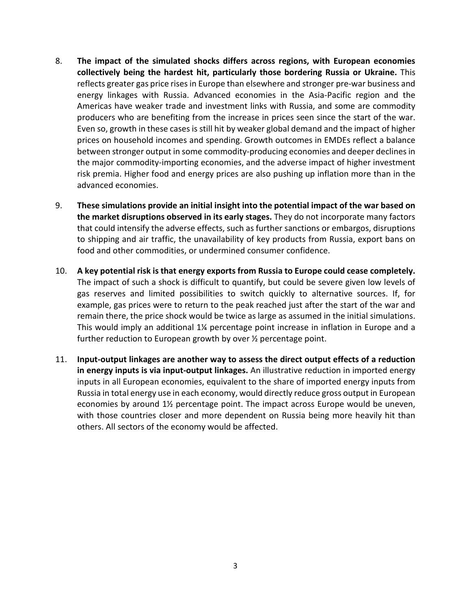- 8. **The impact of the simulated shocks differs across regions, with European economies collectively being the hardest hit, particularly those bordering Russia or Ukraine.** This reflects greater gas price rises in Europe than elsewhere and stronger pre-war business and energy linkages with Russia. Advanced economies in the Asia-Pacific region and the Americas have weaker trade and investment links with Russia, and some are commodity producers who are benefiting from the increase in prices seen since the start of the war. Even so, growth in these cases is still hit by weaker global demand and the impact of higher prices on household incomes and spending. Growth outcomes in EMDEs reflect a balance between stronger output in some commodity-producing economies and deeper declines in the major commodity-importing economies, and the adverse impact of higher investment risk premia. Higher food and energy prices are also pushing up inflation more than in the advanced economies.
- 9. **These simulations provide an initial insight into the potential impact of the war based on the market disruptions observed in its early stages.** They do not incorporate many factors that could intensify the adverse effects, such as further sanctions or embargos, disruptions to shipping and air traffic, the unavailability of key products from Russia, export bans on food and other commodities, or undermined consumer confidence.
- 10. **A key potential risk is that energy exports from Russia to Europe could cease completely.** The impact of such a shock is difficult to quantify, but could be severe given low levels of gas reserves and limited possibilities to switch quickly to alternative sources. If, for example, gas prices were to return to the peak reached just after the start of the war and remain there, the price shock would be twice as large as assumed in the initial simulations. This would imply an additional 1¼ percentage point increase in inflation in Europe and a further reduction to European growth by over  $\frac{1}{2}$  percentage point.
- 11. **Input-output linkages are another way to assess the direct output effects of a reduction in energy inputs is via input-output linkages.** An illustrative reduction in imported energy inputs in all European economies, equivalent to the share of imported energy inputs from Russia in total energy use in each economy, would directly reduce gross output in European economies by around  $1\frac{1}{2}$  percentage point. The impact across Europe would be uneven, with those countries closer and more dependent on Russia being more heavily hit than others. All sectors of the economy would be affected.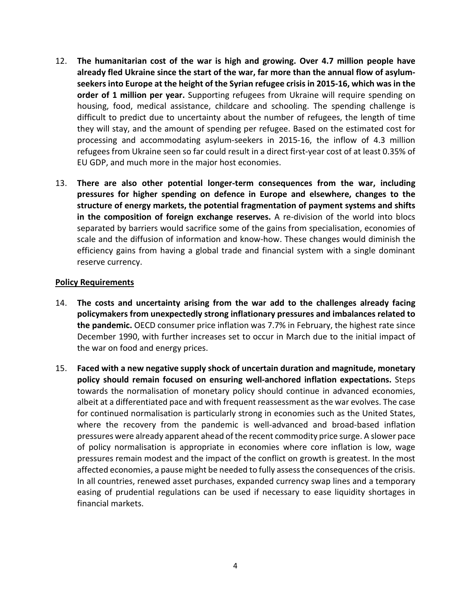- 12. **The humanitarian cost of the war is high and growing. Over 4.7 million people have already fled Ukraine since the start of the war, far more than the annual flow of asylumseekers into Europe at the height of the Syrian refugee crisis in 2015-16, which was in the order of 1 million per year.** Supporting refugees from Ukraine will require spending on housing, food, medical assistance, childcare and schooling. The spending challenge is difficult to predict due to uncertainty about the number of refugees, the length of time they will stay, and the amount of spending per refugee. Based on the estimated cost for processing and accommodating asylum-seekers in 2015-16, the inflow of 4.3 million refugees from Ukraine seen so far could result in a direct first-year cost of at least 0.35% of EU GDP, and much more in the major host economies.
- 13. **There are also other potential longer-term consequences from the war, including pressures for higher spending on defence in Europe and elsewhere, changes to the structure of energy markets, the potential fragmentation of payment systems and shifts in the composition of foreign exchange reserves.** A re-division of the world into blocs separated by barriers would sacrifice some of the gains from specialisation, economies of scale and the diffusion of information and know-how. These changes would diminish the efficiency gains from having a global trade and financial system with a single dominant reserve currency.

## **Policy Requirements**

- 14. **The costs and uncertainty arising from the war add to the challenges already facing policymakers from unexpectedly strong inflationary pressures and imbalances related to the pandemic.** OECD consumer price inflation was 7.7% in February, the highest rate since December 1990, with further increases set to occur in March due to the initial impact of the war on food and energy prices.
- 15. **Faced with a new negative supply shock of uncertain duration and magnitude, monetary policy should remain focused on ensuring well-anchored inflation expectations.** Steps towards the normalisation of monetary policy should continue in advanced economies, albeit at a differentiated pace and with frequent reassessment as the war evolves. The case for continued normalisation is particularly strong in economies such as the United States, where the recovery from the pandemic is well-advanced and broad-based inflation pressures were already apparent ahead of the recent commodity price surge. A slower pace of policy normalisation is appropriate in economies where core inflation is low, wage pressures remain modest and the impact of the conflict on growth is greatest. In the most affected economies, a pause might be needed to fully assess the consequences of the crisis. In all countries, renewed asset purchases, expanded currency swap lines and a temporary easing of prudential regulations can be used if necessary to ease liquidity shortages in financial markets.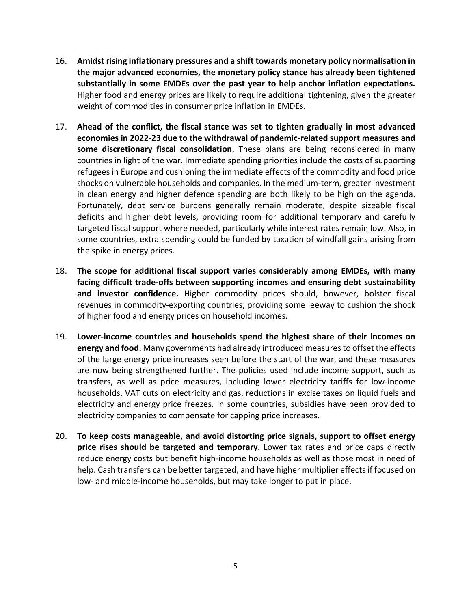- 16. **Amidst rising inflationary pressures and a shift towards monetary policy normalisation in the major advanced economies, the monetary policy stance has already been tightened substantially in some EMDEs over the past year to help anchor inflation expectations.** Higher food and energy prices are likely to require additional tightening, given the greater weight of commodities in consumer price inflation in EMDEs.
- 17. **Ahead of the conflict, the fiscal stance was set to tighten gradually in most advanced economies in 2022-23 due to the withdrawal of pandemic-related support measures and some discretionary fiscal consolidation.** These plans are being reconsidered in many countries in light of the war. Immediate spending priorities include the costs of supporting refugees in Europe and cushioning the immediate effects of the commodity and food price shocks on vulnerable households and companies. In the medium-term, greater investment in clean energy and higher defence spending are both likely to be high on the agenda. Fortunately, debt service burdens generally remain moderate, despite sizeable fiscal deficits and higher debt levels, providing room for additional temporary and carefully targeted fiscal support where needed, particularly while interest rates remain low. Also, in some countries, extra spending could be funded by taxation of windfall gains arising from the spike in energy prices.
- 18. **The scope for additional fiscal support varies considerably among EMDEs, with many facing difficult trade-offs between supporting incomes and ensuring debt sustainability and investor confidence.** Higher commodity prices should, however, bolster fiscal revenues in commodity-exporting countries, providing some leeway to cushion the shock of higher food and energy prices on household incomes.
- 19. **Lower-income countries and households spend the highest share of their incomes on energy and food.** Many governments had already introduced measures to offset the effects of the large energy price increases seen before the start of the war, and these measures are now being strengthened further. The policies used include income support, such as transfers, as well as price measures, including lower electricity tariffs for low-income households, VAT cuts on electricity and gas, reductions in excise taxes on liquid fuels and electricity and energy price freezes. In some countries, subsidies have been provided to electricity companies to compensate for capping price increases.
- 20. **To keep costs manageable, and avoid distorting price signals, support to offset energy price rises should be targeted and temporary.** Lower tax rates and price caps directly reduce energy costs but benefit high-income households as well as those most in need of help. Cash transfers can be better targeted, and have higher multiplier effects if focused on low- and middle-income households, but may take longer to put in place.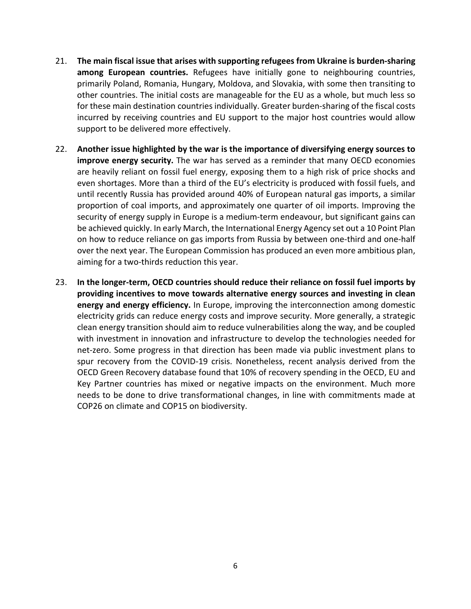- 21. **The main fiscal issue that arises with supporting refugees from Ukraine is burden-sharing among European countries.** Refugees have initially gone to neighbouring countries, primarily Poland, Romania, Hungary, Moldova, and Slovakia, with some then transiting to other countries. The initial costs are manageable for the EU as a whole, but much less so for these main destination countries individually. Greater burden-sharing of the fiscal costs incurred by receiving countries and EU support to the major host countries would allow support to be delivered more effectively.
- 22. **Another issue highlighted by the war is the importance of diversifying energy sources to improve energy security.** The war has served as a reminder that many OECD economies are heavily reliant on fossil fuel energy, exposing them to a high risk of price shocks and even shortages. More than a third of the EU's electricity is produced with fossil fuels, and until recently Russia has provided around 40% of European natural gas imports, a similar proportion of coal imports, and approximately one quarter of oil imports. Improving the security of energy supply in Europe is a medium-term endeavour, but significant gains can be achieved quickly. In early March, the International Energy Agency set out a 10 Point Plan on how to reduce reliance on gas imports from Russia by between one-third and one-half over the next year. The European Commission has produced an even more ambitious plan, aiming for a two-thirds reduction this year.
- 23. **In the longer-term, OECD countries should reduce their reliance on fossil fuel imports by providing incentives to move towards alternative energy sources and investing in clean energy and energy efficiency.** In Europe, improving the interconnection among domestic electricity grids can reduce energy costs and improve security. More generally, a strategic clean energy transition should aim to reduce vulnerabilities along the way, and be coupled with investment in innovation and infrastructure to develop the technologies needed for net-zero. Some progress in that direction has been made via public investment plans to spur recovery from the COVID-19 crisis. Nonetheless, recent analysis derived from the OECD Green Recovery database found that 10% of recovery spending in the OECD, EU and Key Partner countries has mixed or negative impacts on the environment. Much more needs to be done to drive transformational changes, in line with commitments made at COP26 on climate and COP15 on biodiversity.